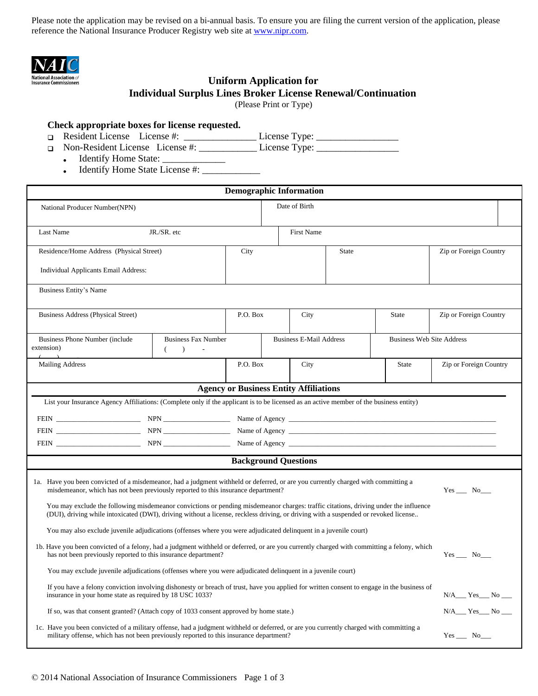Please note the application may be revised on a bi-annual basis. To ensure you are filing the current version of the application, please reference the National Insurance Producer Registry web site at [www.nipr.com.](http://www.nipr.com)



## **National Association of**<br> **Insurance Commissioners**<br> **CIDIFORM Application for Individual Surplus Lines Broker License Renewal/Continuation**

(Please Print or Type)

# **Check appropriate boxes for license requested.**<br> **<u>n</u>** Resident License License #:

D Resident License License #: \_\_\_\_\_\_\_\_\_\_\_\_\_\_\_\_\_\_License Type: \_\_\_\_\_\_\_\_\_\_\_\_\_\_\_\_\_\_

Non-Resident License License #: \_\_\_\_\_\_\_\_\_\_\_\_ License Type: \_\_\_\_\_\_\_\_\_\_\_\_\_\_\_\_\_

- Identify Home State: \_\_\_\_\_\_\_\_\_\_\_\_\_
- Identify Home State License #: \_\_\_\_\_\_\_\_\_\_\_\_

| <b>Demographic Information</b>                                                                                                                                                                                                                                                                                                                                                                                                                                                                                           |                                              |          |                   |                                |              |                                  |  |  |
|--------------------------------------------------------------------------------------------------------------------------------------------------------------------------------------------------------------------------------------------------------------------------------------------------------------------------------------------------------------------------------------------------------------------------------------------------------------------------------------------------------------------------|----------------------------------------------|----------|-------------------|--------------------------------|--------------|----------------------------------|--|--|
| National Producer Number(NPN)                                                                                                                                                                                                                                                                                                                                                                                                                                                                                            |                                              |          | Date of Birth     |                                |              |                                  |  |  |
| Last Name                                                                                                                                                                                                                                                                                                                                                                                                                                                                                                                | JR./SR. etc                                  |          | <b>First Name</b> |                                |              |                                  |  |  |
|                                                                                                                                                                                                                                                                                                                                                                                                                                                                                                                          |                                              |          |                   |                                |              |                                  |  |  |
| Residence/Home Address (Physical Street)                                                                                                                                                                                                                                                                                                                                                                                                                                                                                 |                                              | City     |                   | <b>State</b>                   |              | Zip or Foreign Country           |  |  |
| Individual Applicants Email Address:                                                                                                                                                                                                                                                                                                                                                                                                                                                                                     |                                              |          |                   |                                |              |                                  |  |  |
| Business Entity's Name                                                                                                                                                                                                                                                                                                                                                                                                                                                                                                   |                                              |          |                   |                                |              |                                  |  |  |
| <b>Business Address (Physical Street)</b>                                                                                                                                                                                                                                                                                                                                                                                                                                                                                |                                              | P.O. Box | City              |                                | <b>State</b> | Zip or Foreign Country           |  |  |
| Business Phone Number (include)<br>extension)                                                                                                                                                                                                                                                                                                                                                                                                                                                                            | <b>Business Fax Number</b><br>$\lambda$<br>€ |          |                   | <b>Business E-Mail Address</b> |              | <b>Business Web Site Address</b> |  |  |
| <b>Mailing Address</b>                                                                                                                                                                                                                                                                                                                                                                                                                                                                                                   |                                              | P.O. Box | City              |                                | State        | Zip or Foreign Country           |  |  |
| <b>Agency or Business Entity Affiliations</b>                                                                                                                                                                                                                                                                                                                                                                                                                                                                            |                                              |          |                   |                                |              |                                  |  |  |
| List your Insurance Agency Affiliations: (Complete only if the applicant is to be licensed as an active member of the business entity)                                                                                                                                                                                                                                                                                                                                                                                   |                                              |          |                   |                                |              |                                  |  |  |
|                                                                                                                                                                                                                                                                                                                                                                                                                                                                                                                          |                                              |          |                   |                                |              |                                  |  |  |
|                                                                                                                                                                                                                                                                                                                                                                                                                                                                                                                          |                                              |          |                   |                                |              |                                  |  |  |
|                                                                                                                                                                                                                                                                                                                                                                                                                                                                                                                          |                                              |          |                   |                                |              |                                  |  |  |
| <b>Background Questions</b>                                                                                                                                                                                                                                                                                                                                                                                                                                                                                              |                                              |          |                   |                                |              |                                  |  |  |
| 1a. Have you been convicted of a misdemeanor, had a judgment withheld or deferred, or are you currently charged with committing a<br>misdemeanor, which has not been previously reported to this insurance department?<br>$Yes$ No $\_\_$<br>You may exclude the following misdemeanor convictions or pending misdemeanor charges: traffic citations, driving under the influence<br>(DUI), driving while intoxicated (DWI), driving without a license, reckless driving, or driving with a suspended or revoked license |                                              |          |                   |                                |              |                                  |  |  |
| You may also exclude juvenile adjudications (offenses where you were adjudicated delinquent in a juvenile court)                                                                                                                                                                                                                                                                                                                                                                                                         |                                              |          |                   |                                |              |                                  |  |  |
| 1b. Have you been convicted of a felony, had a judgment withheld or deferred, or are you currently charged with committing a felony, which<br>has not been previously reported to this insurance department?                                                                                                                                                                                                                                                                                                             |                                              |          |                   |                                |              | $Yes$ No $\_\_$                  |  |  |
| You may exclude juvenile adjudications (offenses where you were adjudicated delinquent in a juvenile court)                                                                                                                                                                                                                                                                                                                                                                                                              |                                              |          |                   |                                |              |                                  |  |  |
| If you have a felony conviction involving dishonesty or breach of trust, have you applied for written consent to engage in the business of<br>insurance in your home state as required by 18 USC 1033?                                                                                                                                                                                                                                                                                                                   |                                              |          |                   |                                |              | $N/A$ $Yes$ $No$ $\neg$          |  |  |
| If so, was that consent granted? (Attach copy of 1033 consent approved by home state.)                                                                                                                                                                                                                                                                                                                                                                                                                                   |                                              |          |                   |                                |              | $N/A$ $Yes$ $No$ $\_\_$          |  |  |
| 1c. Have you been convicted of a military offense, had a judgment withheld or deferred, or are you currently charged with committing a<br>military offense, which has not been previously reported to this insurance department?                                                                                                                                                                                                                                                                                         |                                              |          |                   |                                |              | $Yes$ $No$                       |  |  |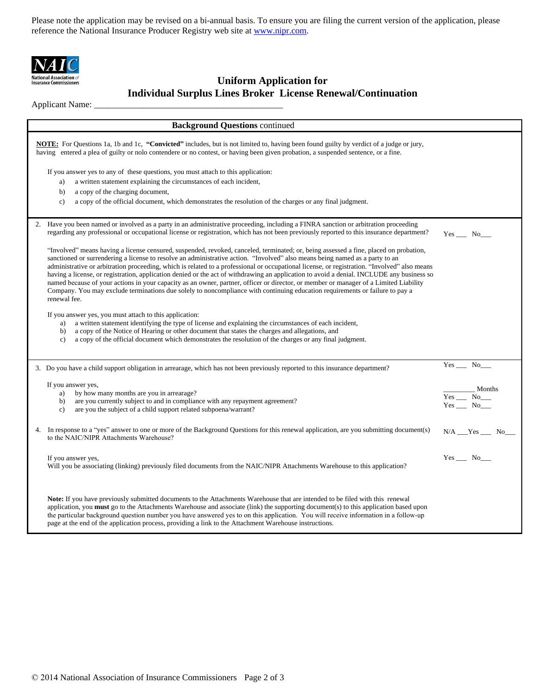Please note the application may be revised on a bi-annual basis. To ensure you are filing the current version of the application, please reference the National Insurance Producer Registry web site at [www.nipr.com.](http://www.nipr.com)



### **National Association of**<br> **Insurance Commissioners**<br> **CIDIFORM Application for Individual Surplus Lines Broker License Renewal/Continuation**

Applicant Name: \_

| <b>Background Questions continued</b>                                                                                                                                                                                                                                                                                                                                                                                                                                                                                                                                                                                                                                                                                                                                                                                                                       |                                |  |  |  |  |
|-------------------------------------------------------------------------------------------------------------------------------------------------------------------------------------------------------------------------------------------------------------------------------------------------------------------------------------------------------------------------------------------------------------------------------------------------------------------------------------------------------------------------------------------------------------------------------------------------------------------------------------------------------------------------------------------------------------------------------------------------------------------------------------------------------------------------------------------------------------|--------------------------------|--|--|--|--|
| NOTE: For Questions 1a, 1b and 1c, "Convicted" includes, but is not limited to, having been found guilty by verdict of a judge or jury,<br>having entered a plea of guilty or nolo contendere or no contest, or having been given probation, a suspended sentence, or a fine.                                                                                                                                                                                                                                                                                                                                                                                                                                                                                                                                                                               |                                |  |  |  |  |
| If you answer yes to any of these questions, you must attach to this application:<br>a written statement explaining the circumstances of each incident,<br>a)<br>b)<br>a copy of the charging document,<br>a copy of the official document, which demonstrates the resolution of the charges or any final judgment.<br>$\mathbf{c}$ )                                                                                                                                                                                                                                                                                                                                                                                                                                                                                                                       |                                |  |  |  |  |
| 2. Have you been named or involved as a party in an administrative proceeding, including a FINRA sanction or arbitration proceeding<br>regarding any professional or occupational license or registration, which has not been previously reported to this insurance department?                                                                                                                                                                                                                                                                                                                                                                                                                                                                                                                                                                             | $Yes$ No $\_\_$                |  |  |  |  |
| "Involved" means having a license censured, suspended, revoked, canceled, terminated; or, being assessed a fine, placed on probation,<br>sanctioned or surrendering a license to resolve an administrative action. "Involved" also means being named as a party to an<br>administrative or arbitration proceeding, which is related to a professional or occupational license, or registration. "Involved" also means<br>having a license, or registration, application denied or the act of withdrawing an application to avoid a denial. INCLUDE any business so<br>named because of your actions in your capacity as an owner, partner, officer or director, or member or manager of a Limited Liability<br>Company. You may exclude terminations due solely to noncompliance with continuing education requirements or failure to pay a<br>renewal fee. |                                |  |  |  |  |
| If you answer yes, you must attach to this application:<br>a written statement identifying the type of license and explaining the circumstances of each incident,<br>a)<br>a copy of the Notice of Hearing or other document that states the charges and allegations, and<br>b)<br>a copy of the official document which demonstrates the resolution of the charges or any final judgment.<br>c)                                                                                                                                                                                                                                                                                                                                                                                                                                                            |                                |  |  |  |  |
| 3. Do you have a child support obligation in arrearage, which has not been previously reported to this insurance department?                                                                                                                                                                                                                                                                                                                                                                                                                                                                                                                                                                                                                                                                                                                                | $Yes$ No                       |  |  |  |  |
| If you answer yes,<br>by how many months are you in arrearage?<br>a)<br>are you currently subject to and in compliance with any repayment agreement?<br>b)<br>are you the subject of a child support related subpoena/warrant?<br>$\mathbf{c}$                                                                                                                                                                                                                                                                                                                                                                                                                                                                                                                                                                                                              | Months<br>$Yes$ No<br>$Yes$ No |  |  |  |  |
| In response to a "yes" answer to one or more of the Background Questions for this renewal application, are you submitting document(s)<br>4.<br>to the NAIC/NIPR Attachments Warehouse?                                                                                                                                                                                                                                                                                                                                                                                                                                                                                                                                                                                                                                                                      | $N/A$ $Yes$ $No$               |  |  |  |  |
| If you answer yes,<br>Will you be associating (linking) previously filed documents from the NAIC/NIPR Attachments Warehouse to this application?                                                                                                                                                                                                                                                                                                                                                                                                                                                                                                                                                                                                                                                                                                            | $Yes$ No $\_\_$                |  |  |  |  |
| Note: If you have previously submitted documents to the Attachments Warehouse that are intended to be filed with this renewal<br>application, you must go to the Attachments Warehouse and associate (link) the supporting document(s) to this application based upon<br>the particular background question number you have answered yes to on this application. You will receive information in a follow-up<br>page at the end of the application process, providing a link to the Attachment Warehouse instructions.                                                                                                                                                                                                                                                                                                                                      |                                |  |  |  |  |